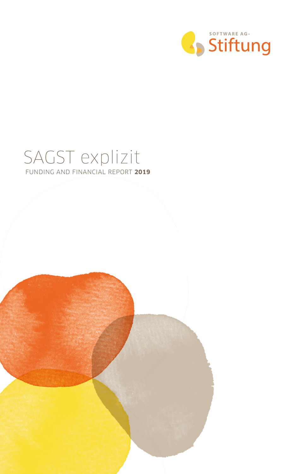

#### SAGST explizit FUNDING AND FINANCIAL REPORT **2019**

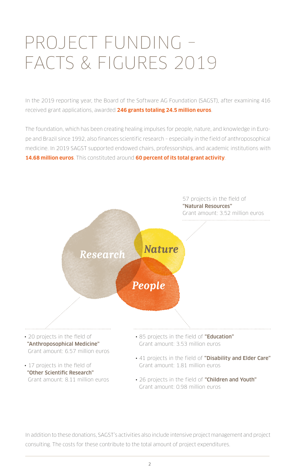# PROJECT FUNDING – FACTS & FIGURES 2019

In the 2019 reporting year, the Board of the Software AG Foundation (SAGST), after examining 416 received grant applications, awarded **246 grants totaling 24.5 million euros**.

The foundation, which has been creating healing impulses for people, nature, and knowledge in Europe and Brazil since 1992, also finances scientific research – especially in the field of anthroposophical medicine. In 2019 SAGST supported endowed chairs, professorships, and academic institutions with **14.68 million euros**. This constituted around **60 percent of its total grant activity**.



In addition to these donations, SAGST's activities also include intensive project management and project consulting. The costs for these contribute to the total amount of project expenditures.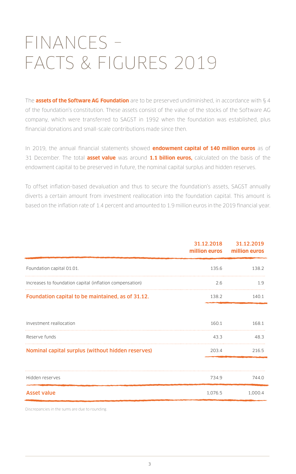# FINANCES – FACTS & FIGURES 2019

The **assets of the Software AG Foundation** are to be preserved undiminished, in accordance with § 4 of the foundation's constitution. These assets consist of the value of the stocks of the Software AG company, which were transferred to SAGST in 1992 when the foundation was established, plus financial donations and small-scale contributions made since then.

In 2019, the annual financial statements showed **endowment capital of 140 million euros** as of 31 December. The total **asset value** was around **1.1 billion euros,** calculated on the basis of the endowment capital to be preserved in future, the nominal capital surplus and hidden reserves.

To offset inflation-based devaluation and thus to secure the foundation's assets, SAGST annually diverts a certain amount from investment reallocation into the foundation capital. This amount is based on the inflation rate of 1.4 percent and amounted to 1.9 million euros in the 2019 financial year.

|                                                          | 31.12.2018 | 31.12.2019<br>million euros million euros |
|----------------------------------------------------------|------------|-------------------------------------------|
| Foundation capital 01.01.                                | 135.6      | 138.2                                     |
| Increases to foundation capital (inflation compensation) | 2.6        | 1.9                                       |
| Foundation capital to be maintained, as of 31.12.        | 138.2      | 140.1                                     |
|                                                          |            |                                           |
| Investment reallocation                                  | 160.1      | 168.1                                     |
| Reserve funds                                            | 43.3       | 48.3                                      |
| Nominal capital surplus (without hidden reserves)        | 203.4      | 216.5                                     |
|                                                          |            |                                           |
| Hidden reserves                                          | 734.9      | 744.0                                     |
| <b>Asset value</b>                                       | 1,076.5    | 1,000.4                                   |

Discrepancies in the sums are due to rounding.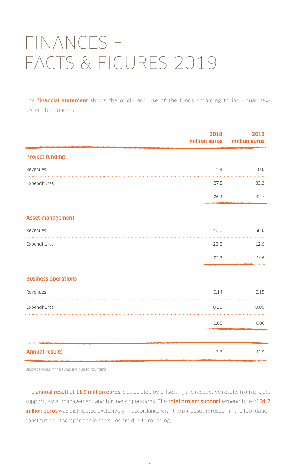# FINANCES – FACTS & FIGURES 2019

The **financial statement** shows the origin and use of the funds according to individual, taxdiscernible spheres.

|                            | 2018<br>million euros | 2019<br>million euros |
|----------------------------|-----------------------|-----------------------|
| <b>Project funding</b>     |                       |                       |
| Revenues                   | 1.4                   | 0.6                   |
| Expenditures               | $-27.8$               | $-33.3$               |
|                            | $-26.4$               | $-32.7$               |
| <b>Asset management</b>    |                       |                       |
| Revenues                   | 46.0                  | 56.6                  |
| Expenditures               | $-23.3$               | $-12.0$               |
|                            | 22.7                  | 44.6                  |
| <b>Business operations</b> |                       |                       |
| Revenues                   | 0.14                  | 0.15                  |
| Expenditures               | $-0.09$               | $-0.09$               |
|                            | 0.05                  | 0.06                  |
|                            |                       |                       |
| <b>Annual results</b>      | $-3.6$                | 11.9                  |

Discrepancies in the sums are due to rounding.

The **annual result** of 11.9 million euros is calculated by offsetting the respective results from project support, asset management and business operations. The **total project support** expenditure of 31.7 million euros was distributed exclusively in accordance with the purposes foreseen in the foundation constitution. Discrepancies in the sums are due to rounding.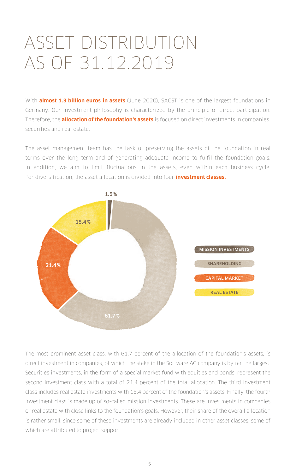# ASSET DISTRIBUTION AS OF 31.12.2019

With **almost 1.3 billion euros in assets** (June 2020), SAGST is one of the largest foundations in Germany. Our investment philosophy is characterized by the principle of direct participation. Therefore, the **allocation of the foundation's assets** is focused on direct investments in companies, securities and real estate.

The asset management team has the task of preserving the assets of the foundation in real terms over the long term and of generating adequate income to fulfil the foundation goals. In addition, we aim to limit fluctuations in the assets, even within each business cycle. For diversification, the asset allocation is divided into four **investment classes.**



The most prominent asset class, with 61.7 percent of the allocation of the foundation's assets, is direct investment in companies, of which the stake in the Software AG company is by far the largest. Securities investments, in the form of a special market fund with equities and bonds, represent the second investment class with a total of 21.4 percent of the total allocation. The third investment class includes real estate investments with 15.4 percent of the foundation's assets. Finally, the fourth investment class is made up of so-called mission investments. These are investments in companies or real estate with close links to the foundation's goals. However, their share of the overall allocation is rather small, since some of these investments are already included in other asset classes, some of which are attributed to project support.